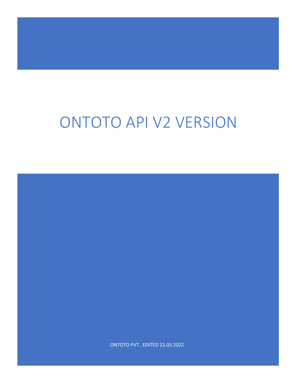# ONTOTO API V2 VERSION

ONTOTO PVT , EDITED 21.03.2022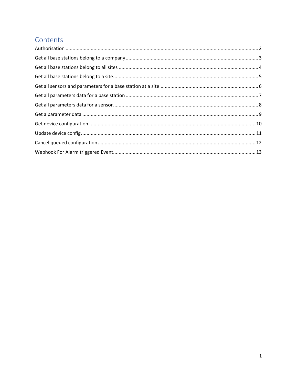# Contents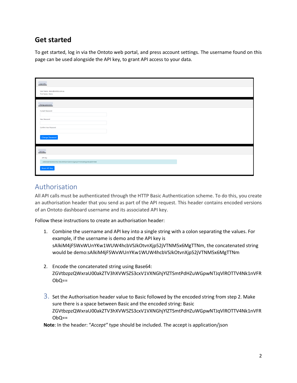## **Get started**

To get started, log in via the Ontoto web portal, and press account settings. The username found on this page can be used alongside the API key, to grant API access to your data.

| User Info                                                                            |  |
|--------------------------------------------------------------------------------------|--|
| User Name : demo@ontoto.com.au<br>First Name : Demo                                  |  |
| Change password                                                                      |  |
| Current Password                                                                     |  |
| New Password                                                                         |  |
| Confirm New Password                                                                 |  |
| Change Password                                                                      |  |
| API Key                                                                              |  |
| API Key                                                                              |  |
| sAlkiM4jFSWxWUnYKw1WUW4hcbVSJkOtvnXjp52jVTNM5x6MgG4bQ0bhH46B<br><b>Reset API Key</b> |  |

## <span id="page-2-0"></span>Authorisation

All API calls must be authenticated through the HTTP Basic Authentication scheme. To do this, you create an authorisation header that you send as part of the API request. This header contains encoded versions of an Ontoto dashboard username and its associated API key.

Follow these instructions to create an authorisation header:

- 1. Combine the username and API key into a single string with a colon separating the values. For example, if the username is demo and the API key is sAlkiM4jFSWxWUnYKw1WUW4hcbVSJkOtvnXjp52jVTNM5x6MgTTNm, the concatenated string would be demo:sAlkiM4jFSWxWUnYKw1WUW4hcbVSJkOtvnXjp52jVTNM5x6MgTTNm
- 2. Encode the concatenated string using Base64: ZGVtbzpzQWxraU00akZTV3hXVW5ZS3cxV1VXNGhjYlZTSmtPdHZuWGpwNTJqVlROTTV4Nk1nVFR  $ObQ ==$
- $\beta$ . Set the Authorisation header value to Basic followed by the encoded string from step 2. Make sure there is a space between Basic and the encoded string: Basic ZGVtbzpzQWxraU00akZTV3hXVW5ZS3cxV1VXNGhjYlZTSmtPdHZuWGpwNTJqVlROTTV4Nk1nVFR  $ObQ ==$

**Note**: In the header: "*Accept"* type should be included. The accept is application/json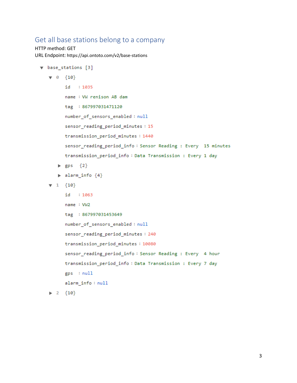### <span id="page-3-0"></span>Get all base stations belong to a company

```
HTTP method: GET
URL Endpoint: https://api.ontoto.com/v2/base-stations
```

```
\blacktriangledown base stations [3]
   \mathbf{v} 0 {10}
          id
              : 1035name : VW renison AB dam
          tag : 867997031471120
          number_of_sensors_enabled: null
          sensor_reading_period_minutes: 15
          transmission period minutes: 1440
          sensor_reading_period_info: Sensor Reading : Every 15 minutes
          transmission_period_info: Data Transmission : Every 1 day
       \blacktriangleright gps \{2\}\blacktriangleright alarm_info \{4\}\mathbf{v} 1 \{10\}id
               : 1063name : VW2
          tag : 867997031453649
          number_of_sensors_enabled: null
          sensor_reading_period_minutes: 240
          transmission_period_minutes: 10080
          sensor_reading_period_info: Sensor Reading : Every 4 hour
          transmission_period_info: Data Transmission : Every 7 day
          gps : null
          alarm_info : null
   \blacktriangleright 2 {10}
```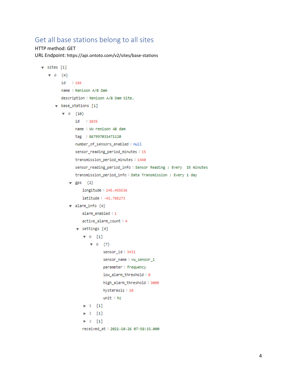## <span id="page-4-0"></span>Get all base stations belong to all sites

HTTP method: GET URL Endpoint: https://api.ontoto.com/v2/sites/base-stations

```
\sqrt{5} sites [1]
   \mathbf{v} = 0 {4}
          id : 184
          name : Renison A/B Dam
          description: Renison A/B Dam Site.
       \sqrt{ } base_stations [1]
           \mathbf{v} 8 \{10\}id : 1035
                  name : VW renison AB dam
                  tag : 867997031471120
                  number_of_sensors_enabled: null
                  sensor_reading_period_minutes:15
                  transmission_period_minutes: 1440
                  sensor_reading_period_info: Sensor Reading : Every 15 minutes
                  transmission_period_info: Data Transmission : Every 1 day
               \mathbf{v} gps \{2\}longitude: 145.455536
                      latitude: -41.788273
               \mathbf v alarm_info \{4\}alarm_enabled:1
                      active_alarm_count:4
                   \mathbf{v} settings [4]
                      \mathbf{v} 0 [1]
                          \mathbf{v} = 0 {7}
                                 sensor_id: 3431
                                 sensor_name: ww_sensor_1
                                 parameter: frequency
                                 low_alarm_threshold:0
                                 high_alarm_threshold: 3000
                                 hysteresis: 10
                                 unit : hz\blacktriangleright 1 [1]
                      \blacktriangleright 2 [1]
                      \blacktriangleright 3 [1]
                      received_at: 2021-10-26 07:58:15.000
```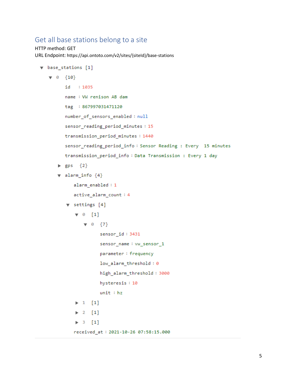## <span id="page-5-0"></span>Get all base stations belong to a site

```
HTTP method: GET
URL Endpoint: https://api.ontoto.com/v2/sites/{siteId}/base-stations
```

```
\vee base stations [1]
   \mathbf{v} 0 {10}
           id
               : 1035name : VW renison AB dam
           tag : 867997031471120
           number_of_sensors_enabled: null
           sensor reading period minutes: 15
           transmission period minutes: 1440
           sensor_reading_period_info: Sensor Reading : Every 15 minutes
           transmission_period_info: Data Transmission : Every 1 day
       \blacktriangleright gps \{2\}\blacktriangledown alarm_info \{4\}alarm_enabled: 1
              active_alarm_count: 4
           \mathbf v settings [4]
               \mathbf{v} 0 [1]
                   \nabla \theta \{7\}sensor_id: 3431
                          sensor_name: vw_sensor_1
                          parameter: frequency
                          low_alarm_threshold:0
                          high_alarm_threshold: 3000
                          hysteresis: 10
                          unit : hz\blacktriangleright 1 [1]
               \triangleright 2 [1]
               \blacktriangleright 3 [1]
               received_at: 2021-10-26 07:58:15.000
```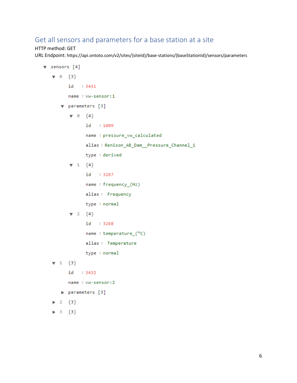## <span id="page-6-0"></span>Get all sensors and parameters for a base station at a site

#### HTTP method: GET

URL Endpoint: https://api.ontoto.com/v2/sites/{siteId}/base-stations/{baseStationId}/sensors/parameters

```
\blacktriangledown sensors [4]
    \mathbf{v} 0 \{3\}id
                 : 3431name : vw-sensor:1
        \blacktriangledown parameters [3]
            \mathbf{v} 0 \{4\}id:1089
                   name : pressure_vw_calculated
                   alias: Renison_AB_Dam__Pressure_Channel_1
                   type : derived
            \nabla 1 {\{4\}}id: 3267
                   name : frequency_(Hz)
                   alias: Frequency
                   type : normal
            \mathbf{v} 2 \{4\}id: 3268
                   name : temperature_(°C)
                   alias: Temperature
                   type : normal
    \mathbf{v} 1 \{3\}id
                 : 3432
           name : vw-sensor:2
        parameters [3]
    \triangleright 2 \{3\}\triangleright 3 {3}
```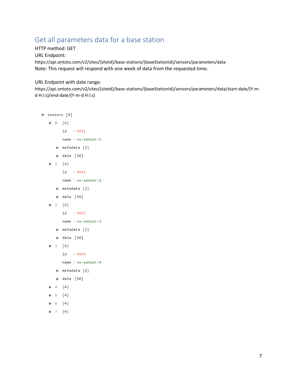## <span id="page-7-0"></span>Get all parameters data for a base station

HTTP method: GET URL Endpoint: https://api.ontoto.com/v2/sites/{siteId}/base-stations/{baseStationId}/sensors/parameters/data Note: This request will respond with one week of data from the requested time.

URL Endpoint with date range:

https://api.ontoto.com/v2/sites/{siteId}/base-stations/{baseStationId}/sensors/parameters/data/start-date/{Y-md H:i:s}/end-date/{Y-m-d H:i:s}

```
\blacktriangledown sensors [8]
     \mathbf{v} 0 {4}
               id: 3431
               name : vw-sensor:1
          \blacktriangleright metadata {2}
           \blacktriangleright data [50]
     \mathbf{v} 1 {4}
               id: 3432
               name : vw-sensor:2
           \blacktriangleright metadata \{2\}\blacktriangleright data [50]
     \mathbf{v} 2 {4}
               id : 3433
               name : vw-sensor:3
           \blacktriangleright metadata \{2\}\blacktriangleright data [50]
     \mathbf{v} 3 \{4\}id: 3434
               name : vw-sensor:4
           \blacktriangleright metadata \{2\}\blacktriangleright data [50]
        4 \{4\}5 {4}\triangleright 6 \{4\}\blacktriangleright 7 {4}
```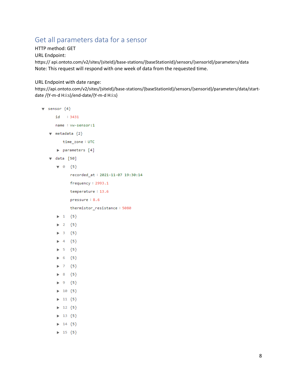# <span id="page-8-0"></span>Get all parameters data for a sensor

HTTP method: GET

URL Endpoint:

https:// api.ontoto.com/v2/sites/{siteId}/base-stations/{baseStationId}/sensors/{sensorId}/parameters/data Note: This request will respond with one week of data from the requested time.

URL Endpoint with date range:

https://api.ontoto.com/v2/sites/{siteId}/base-stations/{baseStationId}/sensors/{sensorid}/parameters/data/startdate /{Y-m-d H:i:s}/end-date/{Y-m-d H:i:s}

```
\blacktriangledown sensor \{4\}id : 3431
          name : vw-sensor:1
     \blacktriangledown metadata \{2\}time_zone: UTC
           parameters [4]
      \sqrt{ } data [50]
           \mathbf{v} 0 \{5\}recorded_at: 2021-11-07 19:30:14
                     frequency: 2993.1
                     temperature: 13.6
                     pressure: 8.6
                     thermistor_resistance: 5080
           \blacktriangleright 1 {5}
           2 {5}\triangleright 3 \{5\}\blacktriangleright 4 \{5\}\blacktriangleright 5 {5}
           \triangleright 6 \{5\}\triangleright 7 {5}
           \triangleright 8 {5}
           \triangleright 9 {5}
           \blacktriangleright 10 \{5\}\blacktriangleright 11 {5}
           \blacktriangleright 12 \{5\}\blacktriangleright 13 \{5\}\blacktriangleright 14 \{5\}\blacktriangleright 15 {5}
```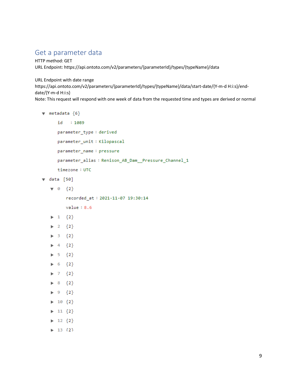## <span id="page-9-0"></span>Get a parameter data

HTTP method: GET URL Endpoint: https://api.ontoto.com/v2/parameters/{parameterId}/types/{typeName}/data

URL Endpoint with date range

https://api.ontoto.com/v2/parameters/{parameterId}/types/{typeName}/data/start-date/{Y-m-d H:i:s}/enddate/{Y-m-d H:i:s}

Note: This request will respond with one week of data from the requested time and types are derived or normal

```
\mathbf w metadata \{6\}id:1089
          parameter_type: derived
          parameter_unit: Kilopascal
          parameter_name : pressure
          parameter_alias: Renison_AB_Dam Pressure_Channel_1
          timezone: UTC
\sqrt{data} [50]
     \mathbf{v} = 0 {2}
               recorded_at: 2021-11-07 19:30:14
               value: 8.6\blacktriangleright 1 \{2\}\blacktriangleright 2 \{2\}\blacktriangleright 3 \{2\}\blacktriangleright 4 \{2\}\triangleright 5 {2}
     \triangleright 6 \{2\}\blacktriangleright 7 {2}
     \triangleright 8 {2}
     \blacktriangleright 9 {2}
     \blacktriangleright 10 \{2\}\blacktriangleright 11 \{2\}\blacktriangleright 12 \{2\}\blacktriangleright 13 {2}
```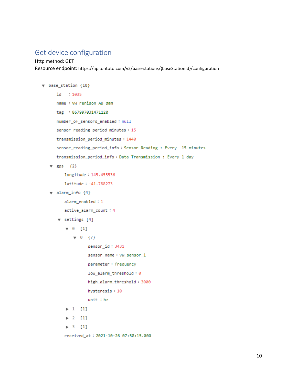## <span id="page-10-0"></span>Get device configuration

```
Http method: GET
Resource endpoint: https://api.ontoto.com/v2/base-stations/{baseStationId}/configuration
```

```
\mathbf v base_station \{10\}id: 1035
      name : VW renison AB dam
      tag : 867997031471120
      number_of_sensors_enabled: null
      sensor_reading_period_minutes: 15
      transmission_period_minutes: 1440
      sensor_reading_period_info: Sensor Reading : Every 15 minutes
      transmission_period_info: Data Transmission : Every 1 day
   \overline{v} gps \{2\}longitude: 145.455536
          latitude: -41.788273
   \mathbf v alarm_info \{4\}alarm_enabled:1
          active_alarm_count: 4
       \mathbf v settings [4]
           \vee 0 [1]
               \mathbf{v} = 0 \quad \{7\}sensor_id: 3431
                     sensor_name: vw_sensor_1
                     parameter: frequency
                     low_alarm_threshold:0
                     high_alarm_threshold: 3000
                     hysteresis: 10
                     unit : hz\blacktriangleright 1 [1]
           \triangleright 2 [1]
           \triangleright 3 [1]
```

```
received_at: 2021-10-26 07:58:15.000
```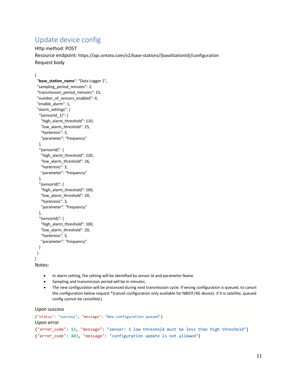## <span id="page-11-0"></span>Update device config

Http method: POST Resource endpoint: https://api.ontoto.com/v2/base-stations/{baseStationId}/configuration Request body

{

```
 "base_station_name": "Data Logger 1",
  "sampling_period_minutes": 2,
  "transmission_period_minutes": 15,
  "number_of_sensors_enabled": 4,
  "enable_alarm": 1,
  "alarm_settings": {
   "{sensorId_1}": {
    "high_alarm_threshold": 110,
    "low_alarm_threshold": 25,
    "hysteresis": 3,
    "parameter": "frequency"
   },
   "{sensorId}": {
    "high_alarm_threshold": 120,
    "low_alarm_threshold": 26,
    "hysteresis": 3,
    "parameter": "frequency"
   },
   "{sensorId}": {
   "high alarm threshold": 100,
    "low_alarm_threshold": 20,
    "hysteresis": 3,
    "parameter": "frequency"
   },
   "{sensorId}": {
    "high_alarm_threshold": 100,
    "low_alarm_threshold": 20,
    "hysteresis": 3,
    "parameter": "frequency"
   }
  }
}
Notes:
```
- In alarm setting, the setting will be identified by sensor Id and parameter Name.
- Sampling and transmission period will be in minutes.
- The new configuration will be processed during next transmission cycle. If wrong configuration is queued, to cancel the configuration below request \*(cancel configuration only available for NBIOT/4G device). if it is satellite, queued config cannot be cancelled.)

Upon success

```
{"status": "success", "message": "New configuration queued"}
Upon error 
{"error_code": 13, "message": "sensor: 1 low threshold must be less than high threshold"}
{"error_code": 403, "message": "configuration update is not allowed"}
```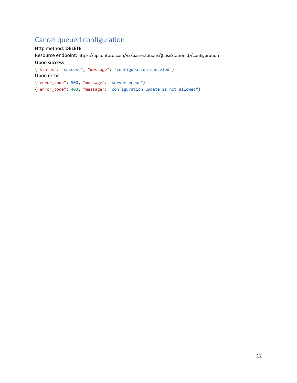## <span id="page-12-0"></span>Cancel queued configuration

Http method: **DELETE** Resource endpoint: https://api.ontoto.com/v2/base-stations/{baseStationId}/configuration Upon success {"status": "success", "message": "configuration canceled"} Upon error {"error\_code": 500, "message": "server error"} {"error\_code": 403, "message": "configuration update is not allowed"}